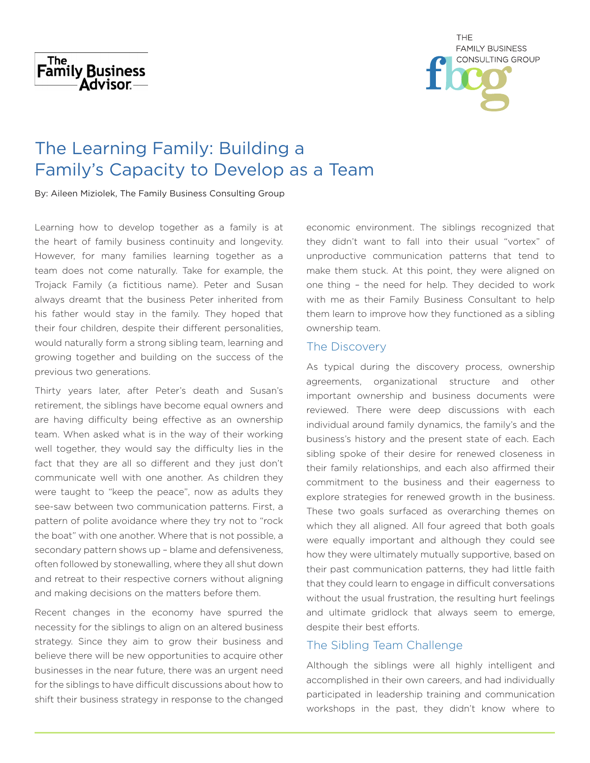



# The Learning Family: Building a Family's Capacity to Develop as a Team

By: Aileen Miziolek, The Family Business Consulting Group

Learning how to develop together as a family is at the heart of family business continuity and longevity. However, for many families learning together as a team does not come naturally. Take for example, the Trojack Family (a fictitious name). Peter and Susan always dreamt that the business Peter inherited from his father would stay in the family. They hoped that their four children, despite their different personalities, would naturally form a strong sibling team, learning and growing together and building on the success of the previous two generations.

Thirty years later, after Peter's death and Susan's retirement, the siblings have become equal owners and are having difficulty being effective as an ownership team. When asked what is in the way of their working well together, they would say the difficulty lies in the fact that they are all so different and they just don't communicate well with one another. As children they were taught to "keep the peace", now as adults they see-saw between two communication patterns. First, a pattern of polite avoidance where they try not to "rock the boat" with one another. Where that is not possible, a secondary pattern shows up – blame and defensiveness, often followed by stonewalling, where they all shut down and retreat to their respective corners without aligning and making decisions on the matters before them.

Recent changes in the economy have spurred the necessity for the siblings to align on an altered business strategy. Since they aim to grow their business and believe there will be new opportunities to acquire other businesses in the near future, there was an urgent need for the siblings to have difficult discussions about how to shift their business strategy in response to the changed economic environment. The siblings recognized that they didn't want to fall into their usual "vortex" of unproductive communication patterns that tend to make them stuck. At this point, they were aligned on one thing – the need for help. They decided to work with me as their Family Business Consultant to help them learn to improve how they functioned as a sibling ownership team.

# The Discovery

As typical during the discovery process, ownership agreements, organizational structure and other important ownership and business documents were reviewed. There were deep discussions with each individual around family dynamics, the family's and the business's history and the present state of each. Each sibling spoke of their desire for renewed closeness in their family relationships, and each also affirmed their commitment to the business and their eagerness to explore strategies for renewed growth in the business. These two goals surfaced as overarching themes on which they all aligned. All four agreed that both goals were equally important and although they could see how they were ultimately mutually supportive, based on their past communication patterns, they had little faith that they could learn to engage in difficult conversations without the usual frustration, the resulting hurt feelings and ultimate gridlock that always seem to emerge, despite their best efforts.

# The Sibling Team Challenge

Although the siblings were all highly intelligent and accomplished in their own careers, and had individually participated in leadership training and communication workshops in the past, they didn't know where to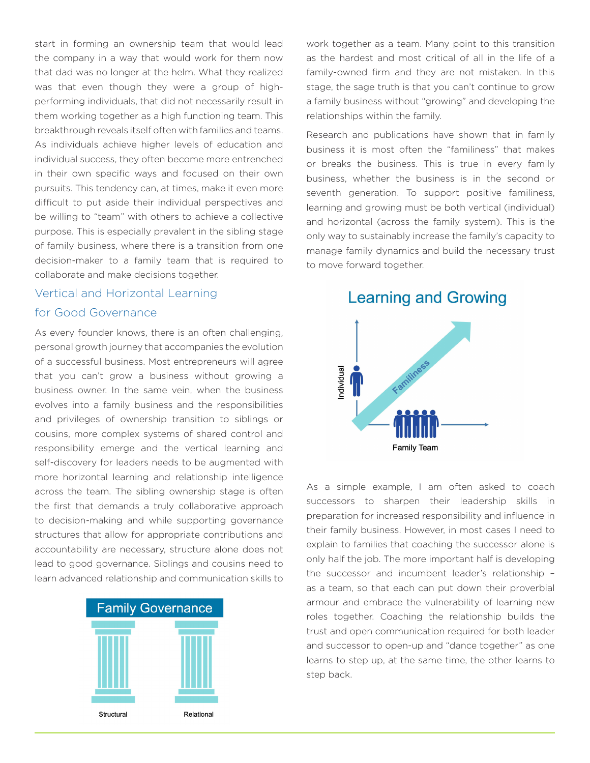start in forming an ownership team that would lead the company in a way that would work for them now that dad was no longer at the helm. What they realized was that even though they were a group of highperforming individuals, that did not necessarily result in them working together as a high functioning team. This breakthrough reveals itself often with families and teams. As individuals achieve higher levels of education and individual success, they often become more entrenched in their own specific ways and focused on their own pursuits. This tendency can, at times, make it even more difficult to put aside their individual perspectives and be willing to "team" with others to achieve a collective purpose. This is especially prevalent in the sibling stage of family business, where there is a transition from one decision-maker to a family team that is required to collaborate and make decisions together.

#### Vertical and Horizontal Learning

### for Good Governance

As every founder knows, there is an often challenging, personal growth journey that accompanies the evolution of a successful business. Most entrepreneurs will agree that you can't grow a business without growing a business owner. In the same vein, when the business evolves into a family business and the responsibilities and privileges of ownership transition to siblings or cousins, more complex systems of shared control and responsibility emerge and the vertical learning and self-discovery for leaders needs to be augmented with more horizontal learning and relationship intelligence across the team. The sibling ownership stage is often the first that demands a truly collaborative approach to decision-making and while supporting governance structures that allow for appropriate contributions and accountability are necessary, structure alone does not lead to good governance. Siblings and cousins need to learn advanced relationship and communication skills to



work together as a team. Many point to this transition as the hardest and most critical of all in the life of a family-owned firm and they are not mistaken. In this stage, the sage truth is that you can't continue to grow a family business without "growing" and developing the relationships within the family.

Research and publications have shown that in family business it is most often the "familiness" that makes or breaks the business. This is true in every family business, whether the business is in the second or seventh generation. To support positive familiness, learning and growing must be both vertical (individual) and horizontal (across the family system). This is the only way to sustainably increase the family's capacity to manage family dynamics and build the necessary trust to move forward together.

**Learning and Growing** 



As a simple example, I am often asked to coach successors to sharpen their leadership skills in preparation for increased responsibility and influence in their family business. However, in most cases I need to explain to families that coaching the successor alone is only half the job. The more important half is developing the successor and incumbent leader's relationship – as a team, so that each can put down their proverbial armour and embrace the vulnerability of learning new roles together. Coaching the relationship builds the trust and open communication required for both leader and successor to open-up and "dance together" as one learns to step up, at the same time, the other learns to step back.